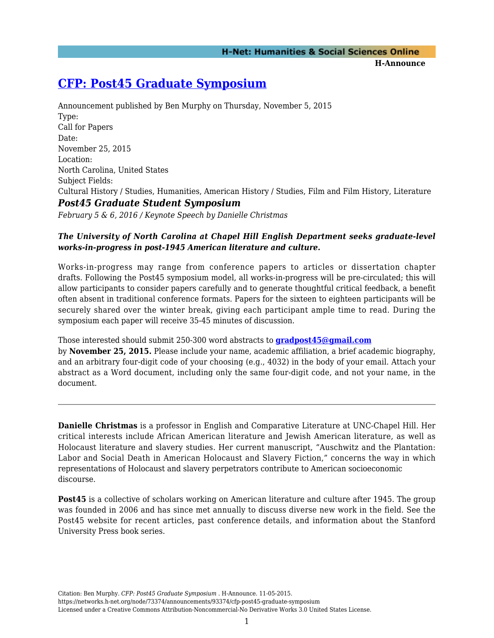**H-Announce** 

## **[CFP: Post45 Graduate Symposium](https://networks.h-net.org/node/73374/announcements/93374/cfp-post45-graduate-symposium)**

Announcement published by Ben Murphy on Thursday, November 5, 2015 Type: Call for Papers Date: November 25, 2015 Location: North Carolina, United States Subject Fields: Cultural History / Studies, Humanities, American History / Studies, Film and Film History, Literature *Post45 Graduate Student Symposium February 5 & 6, 2016 / Keynote Speech by Danielle Christmas*

## *The University of North Carolina at Chapel Hill English Department seeks graduate-level works-in-progress in post-1945 American literature and culture.*

Works-in-progress may range from conference papers to articles or dissertation chapter drafts. Following the Post45 symposium model, all works-in-progress will be pre-circulated; this will allow participants to consider papers carefully and to generate thoughtful critical feedback, a benefit often absent in traditional conference formats. Papers for the sixteen to eighteen participants will be securely shared over the winter break, giving each participant ample time to read. During the symposium each paper will receive 35-45 minutes of discussion.

Those interested should submit 250-300 word abstracts to **[gradpost45@gmail.com](mailto:gradpost45@gmail.com)**

by **November 25, 2015.** Please include your name, academic affiliation, a brief academic biography, and an arbitrary four-digit code of your choosing (e.g., 4032) in the body of your email. Attach your abstract as a Word document, including only the same four-digit code, and not your name, in the document.

**Danielle Christmas** is a professor in English and Comparative Literature at UNC-Chapel Hill. Her critical interests include African American literature and Jewish American literature, as well as Holocaust literature and slavery studies. Her current manuscript, "Auschwitz and the Plantation: Labor and Social Death in American Holocaust and Slavery Fiction," concerns the way in which representations of Holocaust and slavery perpetrators contribute to American socioeconomic discourse.

**Post45** is a collective of scholars working on American literature and culture after 1945. The group was founded in 2006 and has since met annually to discuss diverse new work in the field. See the Post45 website for recent articles, past conference details, and information about the Stanford University Press book series.